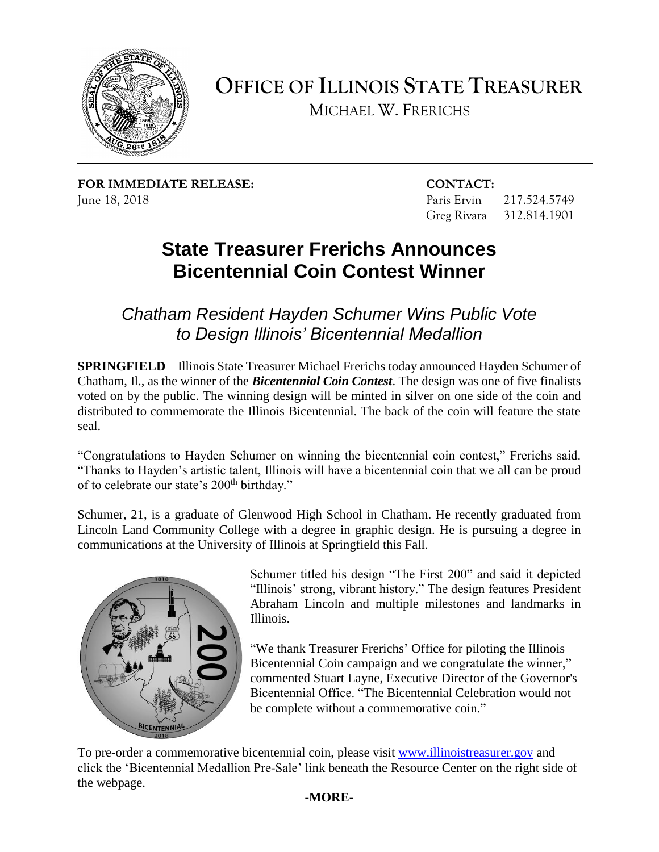

# **OFFICE OF ILLINOIS STATE TREASURER**

MICHAEL W. FRERICHS

**FOR IMMEDIATE RELEASE: CONTACT:**  June 18, 2018 Paris Ervin 217.524.5749

Greg Rivara 312.814.1901

## **State Treasurer Frerichs Announces Bicentennial Coin Contest Winner**

 *Chatham Resident Hayden Schumer Wins Public Vote to Design Illinois' Bicentennial Medallion* 

 Chatham, Il., as the winner of the *Bicentennial Coin Contest*. The design was one of five finalists voted on by the public. The winning design will be minted in silver on one side of the coin and distributed to commemorate the Illinois Bicentennial. The back of the coin will feature the state **SPRINGFIELD** – Illinois State Treasurer Michael Frerichs today announced Hayden Schumer of seal.

 "Congratulations to Hayden Schumer on winning the bicentennial coin contest," Frerichs said. "Thanks to Hayden's artistic talent, Illinois will have a bicentennial coin that we all can be proud of to celebrate our state's 200<sup>th</sup> birthday."

 Schumer, 21, is a graduate of Glenwood High School in Chatham. He recently graduated from Lincoln Land Community College with a degree in graphic design. He is pursuing a degree in communications at the University of Illinois at Springfield this Fall.



 Schumer titled his design "The First 200" and said it depicted "Illinois' strong, vibrant history." The design features President Abraham Lincoln and multiple milestones and landmarks in Illinois.

"We thank Treasurer Frerichs' Office for piloting the Illinois Bicentennial Coin campaign and we congratulate the winner." commented Stuart Layne, Executive Director of the Governor's Bicentennial Office. "The Bicentennial Celebration would not be complete without a commemorative coin."

To pre-order a commemorative bicentennial coin, please visit [www.illinoistreasurer.gov](http://www.illinoistreasurer.gov/) and click the 'Bicentennial Medallion Pre-Sale' link beneath the Resource Center on the right side of the webpage.

## **-MORE-**